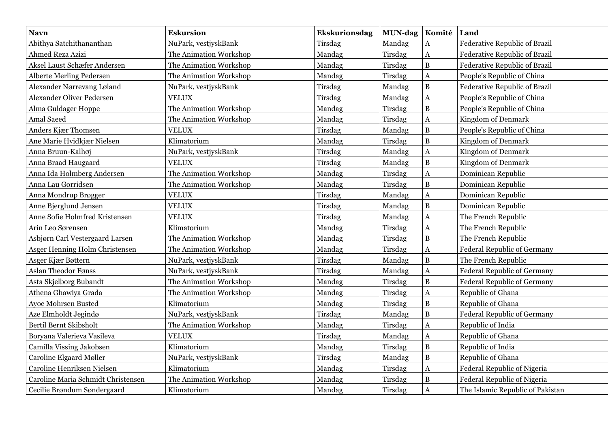| <b>Navn</b>                        | <b>Eskursion</b>       | <b>Ekskurionsdag</b> | <b>MUN-dag</b> | Komité         | Land                                 |
|------------------------------------|------------------------|----------------------|----------------|----------------|--------------------------------------|
| Abithya Satchithananthan           | NuPark, vestjyskBank   | Tirsdag              | Mandag         | A              | Federative Republic of Brazil        |
| Ahmed Reza Azizi                   | The Animation Workshop | Mandag               | Tirsdag        | A              | <b>Federative Republic of Brazil</b> |
| Aksel Laust Schæfer Andersen       | The Animation Workshop | Mandag               | Tirsdag        | $\bf{B}$       | Federative Republic of Brazil        |
| <b>Alberte Merling Pedersen</b>    | The Animation Workshop | Mandag               | Tirsdag        | A              | People's Republic of China           |
| Alexander Nørrevang Løland         | NuPark, vestjyskBank   | Tirsdag              | Mandag         | $\mathbf{B}$   | Federative Republic of Brazil        |
| <b>Alexander Oliver Pedersen</b>   | <b>VELUX</b>           | Tirsdag              | Mandag         | A              | People's Republic of China           |
| Alma Guldager Hoppe                | The Animation Workshop | Mandag               | Tirsdag        | $\, {\bf B}$   | People's Republic of China           |
| Amal Saeed                         | The Animation Workshop | Mandag               | Tirsdag        | A              | Kingdom of Denmark                   |
| Anders Kjær Thomsen                | <b>VELUX</b>           | Tirsdag              | Mandag         | $\, {\bf B}$   | People's Republic of China           |
| Ane Marie Hvidkjær Nielsen         | Klimatorium            | Mandag               | Tirsdag        | $\bf{B}$       | Kingdom of Denmark                   |
| Anna Bruun-Kalhøj                  | NuPark, vestjyskBank   | Tirsdag              | Mandag         | A              | Kingdom of Denmark                   |
| Anna Braad Haugaard                | <b>VELUX</b>           | Tirsdag              | Mandag         | $\, {\bf B}$   | Kingdom of Denmark                   |
| Anna Ida Holmberg Andersen         | The Animation Workshop | Mandag               | Tirsdag        | A              | Dominican Republic                   |
| Anna Lau Gorridsen                 | The Animation Workshop | Mandag               | Tirsdag        | B              | Dominican Republic                   |
| Anna Mondrup Brøgger               | <b>VELUX</b>           | Tirsdag              | Mandag         | A              | Dominican Republic                   |
| Anne Bjerglund Jensen              | <b>VELUX</b>           | Tirsdag              | Mandag         | $\bf{B}$       | Dominican Republic                   |
| Anne Sofie Holmfred Kristensen     | <b>VELUX</b>           | Tirsdag              | Mandag         | A              | The French Republic                  |
| Arin Leo Sørensen                  | Klimatorium            | Mandag               | Tirsdag        | A              | The French Republic                  |
| Asbjørn Carl Vestergaard Larsen    | The Animation Workshop | Mandag               | Tirsdag        | $\bf{B}$       | The French Republic                  |
| Asger Henning Holm Christensen     | The Animation Workshop | Mandag               | Tirsdag        | A              | Federal Republic of Germany          |
| Asger Kjær Bøttern                 | NuPark, vestjyskBank   | Tirsdag              | Mandag         | $\mathbf{B}$   | The French Republic                  |
| <b>Aslan Theodor Fønss</b>         | NuPark, vestjyskBank   | Tirsdag              | Mandag         | A              | <b>Federal Republic of Germany</b>   |
| Asta Skjelborg Bubandt             | The Animation Workshop | Mandag               | Tirsdag        | $\, {\bf B}$   | <b>Federal Republic of Germany</b>   |
| Athena Ghawiya Grada               | The Animation Workshop | Mandag               | Tirsdag        | A              | Republic of Ghana                    |
| Ayoe Mohrsen Busted                | Klimatorium            | Mandag               | Tirsdag        | B              | Republic of Ghana                    |
| Aze Elmholdt Jegindø               | NuPark, vestjyskBank   | Tirsdag              | Mandag         | $\bf{B}$       | <b>Federal Republic of Germany</b>   |
| Bertil Bernt Skibsholt             | The Animation Workshop | Mandag               | Tirsdag        | A              | Republic of India                    |
| Boryana Valerieva Vasileva         | <b>VELUX</b>           | Tirsdag              | Mandag         | A              | Republic of Ghana                    |
| Camilla Vissing Jakobsen           | Klimatorium            | Mandag               | Tirsdag        | $\bf{B}$       | Republic of India                    |
| Caroline Elgaard Møller            | NuPark, vestjyskBank   | Tirsdag              | Mandag         | $\overline{B}$ | Republic of Ghana                    |
| Caroline Henriksen Nielsen         | Klimatorium            | Mandag               | Tirsdag        | A              | Federal Republic of Nigeria          |
| Caroline Maria Schmidt Christensen | The Animation Workshop | Mandag               | Tirsdag        | $\, {\bf B}$   | Federal Republic of Nigeria          |
| Cecilie Brøndum Søndergaard        | Klimatorium            | Mandag               | Tirsdag        | A              | The Islamic Republic of Pakistan     |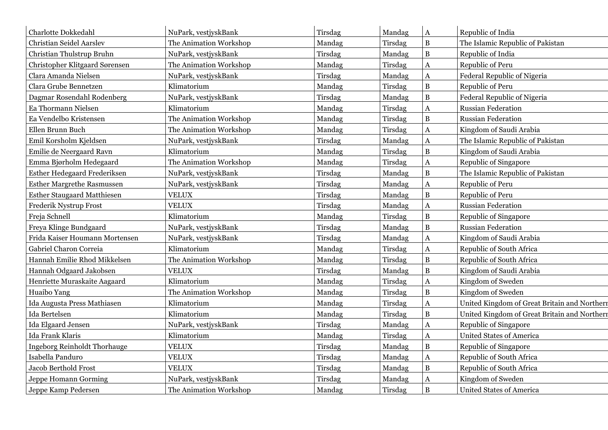| Charlotte Dokkedahl                 | NuPark, vestjyskBank   | Tirsdag | Mandag  | $\mathbf{A}$          | Republic of India                            |
|-------------------------------------|------------------------|---------|---------|-----------------------|----------------------------------------------|
| <b>Christian Seidel Aarslev</b>     | The Animation Workshop | Mandag  | Tirsdag | $\, {\bf B}$          | The Islamic Republic of Pakistan             |
| Christian Thulstrup Bruhn           | NuPark, vestjyskBank   | Tirsdag | Mandag  | $\, {\bf B}$          | Republic of India                            |
| Christopher Klitgaard Sørensen      | The Animation Workshop | Mandag  | Tirsdag | A                     | Republic of Peru                             |
| Clara Amanda Nielsen                | NuPark, vestjyskBank   | Tirsdag | Mandag  | $\mathbf A$           | Federal Republic of Nigeria                  |
| Clara Grube Bennetzen               | Klimatorium            | Mandag  | Tirsdag | $\, {\bf B}$          | Republic of Peru                             |
| Dagmar Rosendahl Rodenberg          | NuPark, vestjyskBank   | Tirsdag | Mandag  | $\, {\bf B}$          | Federal Republic of Nigeria                  |
| Ea Thormann Nielsen                 | Klimatorium            | Mandag  | Tirsdag | $\bf{A}$              | <b>Russian Federation</b>                    |
| Ea Vendelbo Kristensen              | The Animation Workshop | Mandag  | Tirsdag | $\, {\bf B}$          | <b>Russian Federation</b>                    |
| Ellen Brunn Buch                    | The Animation Workshop | Mandag  | Tirsdag | $\mathbf A$           | Kingdom of Saudi Arabia                      |
| Emil Korsholm Kjeldsen              | NuPark, vestjyskBank   | Tirsdag | Mandag  | $\mathbf A$           | The Islamic Republic of Pakistan             |
| Emilie de Neergaard Ravn            | Klimatorium            | Mandag  | Tirsdag | $\, {\bf B}$          | Kingdom of Saudi Arabia                      |
| Emma Bjørholm Hedegaard             | The Animation Workshop | Mandag  | Tirsdag | $\boldsymbol{\rm{A}}$ | Republic of Singapore                        |
| Esther Hedegaard Frederiksen        | NuPark, vestjyskBank   | Tirsdag | Mandag  | $\, {\bf B}$          | The Islamic Republic of Pakistan             |
| <b>Esther Margrethe Rasmussen</b>   | NuPark, vestjyskBank   | Tirsdag | Mandag  | A                     | Republic of Peru                             |
| <b>Esther Staugaard Matthiesen</b>  | <b>VELUX</b>           | Tirsdag | Mandag  | $\bf{B}$              | Republic of Peru                             |
| Frederik Nystrup Frost              | <b>VELUX</b>           | Tirsdag | Mandag  | $\mathbf{A}$          | <b>Russian Federation</b>                    |
| Freja Schnell                       | Klimatorium            | Mandag  | Tirsdag | $\bf{B}$              | Republic of Singapore                        |
| Freya Klinge Bundgaard              | NuPark, vestjyskBank   | Tirsdag | Mandag  | $\, {\bf B}$          | <b>Russian Federation</b>                    |
| Frida Kaiser Houmann Mortensen      | NuPark, vestjyskBank   | Tirsdag | Mandag  | $\mathbf A$           | Kingdom of Saudi Arabia                      |
| Gabriel Charon Correia              | Klimatorium            | Mandag  | Tirsdag | $\mathbf A$           | Republic of South Africa                     |
| Hannah Emilie Rhod Mikkelsen        | The Animation Workshop | Mandag  | Tirsdag | $\, {\bf B}$          | Republic of South Africa                     |
| Hannah Odgaard Jakobsen             | <b>VELUX</b>           | Tirsdag | Mandag  | $\bf{B}$              | Kingdom of Saudi Arabia                      |
| Henriette Muraskaite Aagaard        | Klimatorium            | Mandag  | Tirsdag | $\mathbf{A}$          | Kingdom of Sweden                            |
| Huaibo Yang                         | The Animation Workshop | Mandag  | Tirsdag | $\overline{B}$        | Kingdom of Sweden                            |
| Ida Augusta Press Mathiasen         | Klimatorium            | Mandag  | Tirsdag | $\mathbf{A}$          | United Kingdom of Great Britain and Northern |
| Ida Bertelsen                       | Klimatorium            | Mandag  | Tirsdag | $\, {\bf B}$          | United Kingdom of Great Britain and Northern |
| Ida Elgaard Jensen                  | NuPark, vestjyskBank   | Tirsdag | Mandag  | A                     | Republic of Singapore                        |
| Ida Frank Klaris                    | Klimatorium            | Mandag  | Tirsdag | $\mathbf{A}$          | <b>United States of America</b>              |
| <b>Ingeborg Reinholdt Thorhauge</b> | <b>VELUX</b>           | Tirsdag | Mandag  | $\bf{B}$              | Republic of Singapore                        |
| Isabella Panduro                    | <b>VELUX</b>           | Tirsdag | Mandag  | $\mathbf A$           | Republic of South Africa                     |
| <b>Jacob Berthold Frost</b>         | <b>VELUX</b>           | Tirsdag | Mandag  | $\, {\bf B}$          | Republic of South Africa                     |
| Jeppe Homann Gorming                | NuPark, vestjyskBank   | Tirsdag | Mandag  | $\mathbf A$           | Kingdom of Sweden                            |
| Jeppe Kamp Pedersen                 | The Animation Workshop | Mandag  | Tirsdag | $\, {\bf B}$          | <b>United States of America</b>              |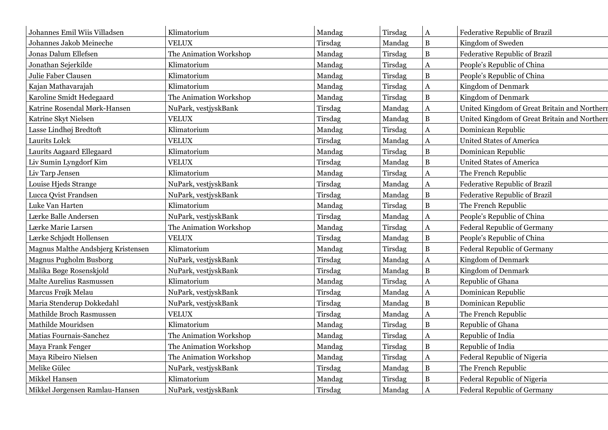| Johannes Emil Wiis Villadsen       | Klimatorium            | Mandag  | Tirsdag | $\mathbf A$  | Federative Republic of Brazil                |
|------------------------------------|------------------------|---------|---------|--------------|----------------------------------------------|
| Johannes Jakob Meineche            | <b>VELUX</b>           | Tirsdag | Mandag  | $\, {\bf B}$ | Kingdom of Sweden                            |
| Jonas Dalum Ellefsen               | The Animation Workshop | Mandag  | Tirsdag | $\, {\bf B}$ | Federative Republic of Brazil                |
| Jonathan Sejerkilde                | Klimatorium            | Mandag  | Tirsdag | A            | People's Republic of China                   |
| Julie Faber Clausen                | Klimatorium            | Mandag  | Tirsdag | $\, {\bf B}$ | People's Republic of China                   |
| Kajan Mathavarajah                 | Klimatorium            | Mandag  | Tirsdag | A            | Kingdom of Denmark                           |
| Karoline Smidt Hedegaard           | The Animation Workshop | Mandag  | Tirsdag | $\, {\bf B}$ | Kingdom of Denmark                           |
| Katrine Rosendal Mørk-Hansen       | NuPark, vestjyskBank   | Tirsdag | Mandag  | $\mathbf A$  | United Kingdom of Great Britain and Northern |
| Katrine Skyt Nielsen               | <b>VELUX</b>           | Tirsdag | Mandag  | $\, {\bf B}$ | United Kingdom of Great Britain and Northern |
| Lasse Lindhøj Bredtoft             | Klimatorium            | Mandag  | Tirsdag | $\mathbf A$  | Dominican Republic                           |
| Laurits Lolck                      | <b>VELUX</b>           | Tirsdag | Mandag  | $\bf A$      | <b>United States of America</b>              |
| Laurits Aagaard Ellegaard          | Klimatorium            | Mandag  | Tirsdag | $\, {\bf B}$ | Dominican Republic                           |
| Liv Sumin Lyngdorf Kim             | <b>VELUX</b>           | Tirsdag | Mandag  | $\, {\bf B}$ | <b>United States of America</b>              |
| Liv Tarp Jensen                    | Klimatorium            | Mandag  | Tirsdag | $\mathbf A$  | The French Republic                          |
| Louise Hjeds Strange               | NuPark, vestjyskBank   | Tirsdag | Mandag  | $\bf A$      | Federative Republic of Brazil                |
| Lucca Qvist Frandsen               | NuPark, vestjyskBank   | Tirsdag | Mandag  | $\, {\bf B}$ | Federative Republic of Brazil                |
| Luke Van Harten                    | Klimatorium            | Mandag  | Tirsdag | $\, {\bf B}$ | The French Republic                          |
| Lærke Balle Andersen               | NuPark, vestjyskBank   | Tirsdag | Mandag  | A            | People's Republic of China                   |
| Lærke Marie Larsen                 | The Animation Workshop | Mandag  | Tirsdag | $\mathbf{A}$ | Federal Republic of Germany                  |
| Lærke Schjødt Hollensen            | <b>VELUX</b>           | Tirsdag | Mandag  | $\, {\bf B}$ | People's Republic of China                   |
| Magnus Malthe Andsbjerg Kristensen | Klimatorium            | Mandag  | Tirsdag | $\, {\bf B}$ | Federal Republic of Germany                  |
| <b>Magnus Pugholm Busborg</b>      | NuPark, vestjyskBank   | Tirsdag | Mandag  | $\mathbf{A}$ | Kingdom of Denmark                           |
| Malika Bøge Rosenskjold            | NuPark, vestjyskBank   | Tirsdag | Mandag  | $\, {\bf B}$ | <b>Kingdom of Denmark</b>                    |
| Malte Aurelius Rasmussen           | Klimatorium            | Mandag  | Tirsdag | $\bf A$      | Republic of Ghana                            |
| Marcus Frøjk Melau                 | NuPark, vestjyskBank   | Tirsdag | Mandag  | $\bf A$      | Dominican Republic                           |
| Maria Stenderup Dokkedahl          | NuPark, vestjyskBank   | Tirsdag | Mandag  | $\, {\bf B}$ | Dominican Republic                           |
| Mathilde Broch Rasmussen           | <b>VELUX</b>           | Tirsdag | Mandag  | $\mathbf A$  | The French Republic                          |
| Mathilde Mouridsen                 | Klimatorium            | Mandag  | Tirsdag | $\, {\bf B}$ | Republic of Ghana                            |
| Matias Fournais-Sanchez            | The Animation Workshop | Mandag  | Tirsdag | $\mathbf{A}$ | Republic of India                            |
| Maya Frank Fenger                  | The Animation Workshop | Mandag  | Tirsdag | $\, {\bf B}$ | Republic of India                            |
| Maya Ribeiro Nielsen               | The Animation Workshop | Mandag  | Tirsdag | $\bf A$      | Federal Republic of Nigeria                  |
| Melike Gülec                       | NuPark, vestjyskBank   | Tirsdag | Mandag  | $\, {\bf B}$ | The French Republic                          |
| Mikkel Hansen                      | Klimatorium            | Mandag  | Tirsdag | $\, {\bf B}$ | Federal Republic of Nigeria                  |
| Mikkel Jørgensen Ramlau-Hansen     | NuPark, vestjyskBank   | Tirsdag | Mandag  | $\bf A$      | <b>Federal Republic of Germany</b>           |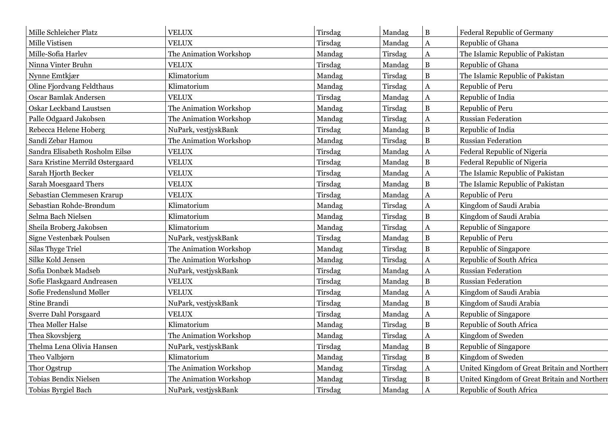| Mille Schleicher Platz           | <b>VELUX</b>           | Tirsdag | Mandag  | $\, {\bf B}$          | <b>Federal Republic of Germany</b>           |
|----------------------------------|------------------------|---------|---------|-----------------------|----------------------------------------------|
| Mille Vistisen                   | <b>VELUX</b>           | Tirsdag | Mandag  | $\bf A$               | Republic of Ghana                            |
| Mille-Sofia Harlev               | The Animation Workshop | Mandag  | Tirsdag | $\bf{A}$              | The Islamic Republic of Pakistan             |
| Ninna Vinter Bruhn               | <b>VELUX</b>           | Tirsdag | Mandag  | $\, {\bf B}$          | Republic of Ghana                            |
| Nynne Emtkjær                    | Klimatorium            | Mandag  | Tirsdag | $\overline{B}$        | The Islamic Republic of Pakistan             |
| Oline Fjordvang Feldthaus        | Klimatorium            | Mandag  | Tirsdag | A                     | Republic of Peru                             |
| Oscar Bamlak Andersen            | <b>VELUX</b>           | Tirsdag | Mandag  | $\bf A$               | Republic of India                            |
| Oskar Leckband Laustsen          | The Animation Workshop | Mandag  | Tirsdag | $\overline{B}$        | Republic of Peru                             |
| Palle Odgaard Jakobsen           | The Animation Workshop | Mandag  | Tirsdag | A                     | <b>Russian Federation</b>                    |
| Rebecca Helene Hoberg            | NuPark, vestjyskBank   | Tirsdag | Mandag  | $\, {\bf B}$          | Republic of India                            |
| Sandi Zebar Hamou                | The Animation Workshop | Mandag  | Tirsdag | $\bf{B}$              | <b>Russian Federation</b>                    |
| Sandra Elisabeth Rosholm Eilsø   | <b>VELUX</b>           | Tirsdag | Mandag  | $\mathbf{A}$          | Federal Republic of Nigeria                  |
| Sara Kristine Merrild Østergaard | <b>VELUX</b>           | Tirsdag | Mandag  | $\bf{B}$              | Federal Republic of Nigeria                  |
| Sarah Hjorth Becker              | <b>VELUX</b>           | Tirsdag | Mandag  | $\boldsymbol{\rm{A}}$ | The Islamic Republic of Pakistan             |
| Sarah Moesgaard Thers            | <b>VELUX</b>           | Tirsdag | Mandag  | $\, {\bf B}$          | The Islamic Republic of Pakistan             |
| Sebastian Clemmesen Krarup       | <b>VELUX</b>           | Tirsdag | Mandag  | $\mathbf A$           | Republic of Peru                             |
| Sebastian Rohde-Brøndum          | Klimatorium            | Mandag  | Tirsdag | $\mathbf A$           | Kingdom of Saudi Arabia                      |
| Selma Bach Nielsen               | Klimatorium            | Mandag  | Tirsdag | $\bf{B}$              | Kingdom of Saudi Arabia                      |
| Sheila Broberg Jakobsen          | Klimatorium            | Mandag  | Tirsdag | $\boldsymbol{\rm{A}}$ | Republic of Singapore                        |
| Signe Vestenbæk Poulsen          | NuPark, vestjyskBank   | Tirsdag | Mandag  | $\, {\bf B}$          | Republic of Peru                             |
| <b>Silas Thyge Triel</b>         | The Animation Workshop | Mandag  | Tirsdag | $\overline{B}$        | Republic of Singapore                        |
| Silke Kold Jensen                | The Animation Workshop | Mandag  | Tirsdag | $\mathbf{A}$          | Republic of South Africa                     |
| Sofia Donbæk Madseb              | NuPark, vestjyskBank   | Tirsdag | Mandag  | $\bf{A}$              | <b>Russian Federation</b>                    |
| Sofie Flaskgaard Andreasen       | <b>VELUX</b>           | Tirsdag | Mandag  | $\, {\bf B}$          | Russian Federation                           |
| Sofie Fredenslund Møller         | <b>VELUX</b>           | Tirsdag | Mandag  | $\mathbf A$           | Kingdom of Saudi Arabia                      |
| Stine Brandi                     | NuPark, vestjyskBank   | Tirsdag | Mandag  | $\bf{B}$              | Kingdom of Saudi Arabia                      |
| Sverre Dahl Porsgaard            | <b>VELUX</b>           | Tirsdag | Mandag  | $\mathbf A$           | Republic of Singapore                        |
| Thea Møller Halse                | Klimatorium            | Mandag  | Tirsdag | $\bf{B}$              | Republic of South Africa                     |
| Thea Skovsbjerg                  | The Animation Workshop | Mandag  | Tirsdag | $\bf A$               | Kingdom of Sweden                            |
| Thelma Lena Olivia Hansen        | NuPark, vestjyskBank   | Tirsdag | Mandag  | $\, {\bf B}$          | Republic of Singapore                        |
| Theo Valbjørn                    | Klimatorium            | Mandag  | Tirsdag | $\bf{B}$              | Kingdom of Sweden                            |
| Thor Ogstrup                     | The Animation Workshop | Mandag  | Tirsdag | $\mathbf{A}$          | United Kingdom of Great Britain and Northern |
| <b>Tobias Bendix Nielsen</b>     | The Animation Workshop | Mandag  | Tirsdag | $\bf{B}$              | United Kingdom of Great Britain and Northern |
| Tobias Byrgiel Bach              | NuPark, vestjyskBank   | Tirsdag | Mandag  | $\mathbf{A}$          | Republic of South Africa                     |